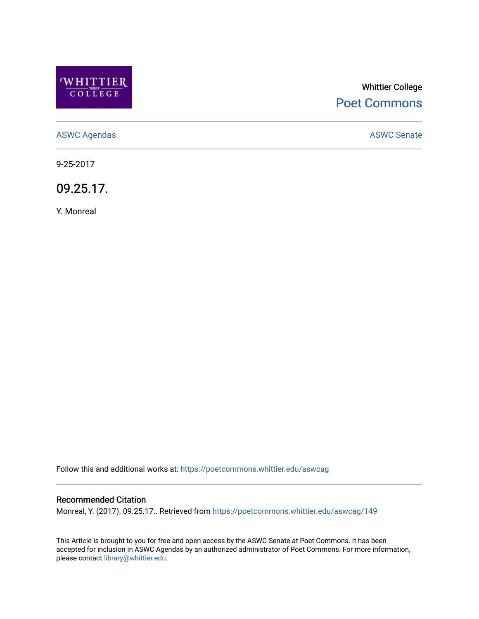

# Whittier College [Poet Commons](https://poetcommons.whittier.edu/)

[ASWC Agendas](https://poetcommons.whittier.edu/aswcag) **ASWC Senate** 

9-25-2017

09.25.17.

Y. Monreal

Follow this and additional works at: [https://poetcommons.whittier.edu/aswcag](https://poetcommons.whittier.edu/aswcag?utm_source=poetcommons.whittier.edu%2Faswcag%2F149&utm_medium=PDF&utm_campaign=PDFCoverPages) 

# Recommended Citation

Monreal, Y. (2017). 09.25.17.. Retrieved from [https://poetcommons.whittier.edu/aswcag/149](https://poetcommons.whittier.edu/aswcag/149?utm_source=poetcommons.whittier.edu%2Faswcag%2F149&utm_medium=PDF&utm_campaign=PDFCoverPages) 

This Article is brought to you for free and open access by the ASWC Senate at Poet Commons. It has been accepted for inclusion in ASWC Agendas by an authorized administrator of Poet Commons. For more information, please contact [library@whittier.edu](mailto:library@whittier.edu).